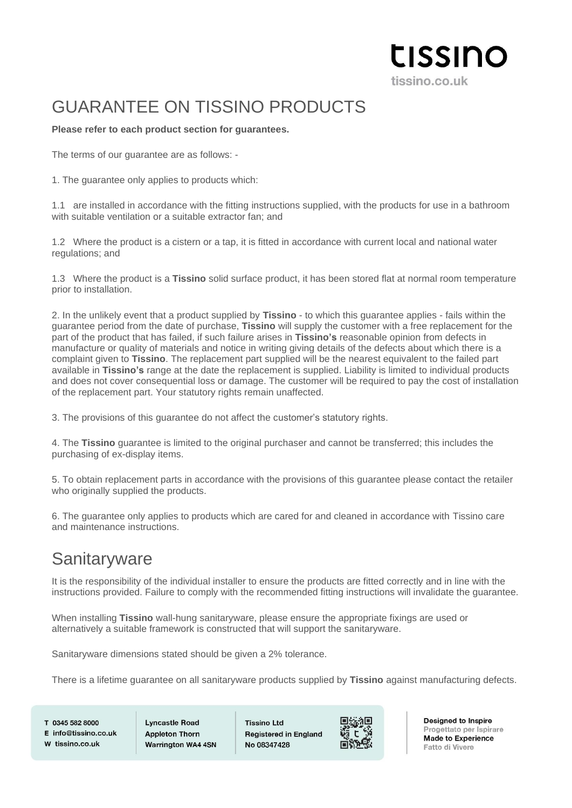#### **LISSINO** tissino.co.uk

# GUARANTEE ON TISSINO PRODUCTS

#### **Please refer to each product section for guarantees.**

The terms of our guarantee are as follows: -

1. The guarantee only applies to products which:

1.1 are installed in accordance with the fitting instructions supplied, with the products for use in a bathroom with suitable ventilation or a suitable extractor fan; and

1.2 Where the product is a cistern or a tap, it is fitted in accordance with current local and national water regulations; and

1.3 Where the product is a **Tissino** solid surface product, it has been stored flat at normal room temperature prior to installation.

2. In the unlikely event that a product supplied by **Tissino** - to which this guarantee applies - fails within the guarantee period from the date of purchase, **Tissino** will supply the customer with a free replacement for the part of the product that has failed, if such failure arises in **Tissino's** reasonable opinion from defects in manufacture or quality of materials and notice in writing giving details of the defects about which there is a complaint given to **Tissino**. The replacement part supplied will be the nearest equivalent to the failed part available in **Tissino's** range at the date the replacement is supplied. Liability is limited to individual products and does not cover consequential loss or damage. The customer will be required to pay the cost of installation of the replacement part. Your statutory rights remain unaffected.

3. The provisions of this guarantee do not affect the customer's statutory rights.

4. The **Tissino** guarantee is limited to the original purchaser and cannot be transferred; this includes the purchasing of ex-display items.

5. To obtain replacement parts in accordance with the provisions of this guarantee please contact the retailer who originally supplied the products.

6. The guarantee only applies to products which are cared for and cleaned in accordance with Tissino care and maintenance instructions.

#### **Sanitaryware**

It is the responsibility of the individual installer to ensure the products are fitted correctly and in line with the instructions provided. Failure to comply with the recommended fitting instructions will invalidate the guarantee.

When installing **Tissino** wall-hung sanitaryware, please ensure the appropriate fixings are used or alternatively a suitable framework is constructed that will support the sanitaryware.

Sanitaryware dimensions stated should be given a 2% tolerance.

There is a lifetime guarantee on all sanitaryware products supplied by **Tissino** against manufacturing defects.

T 0345 582 8000 E info@tissino.co.uk W tissino.co.uk

**Lyncastle Road Appleton Thorn** Warrington WA4 4SN **Tissino Ltd Registered in England** No 08347428

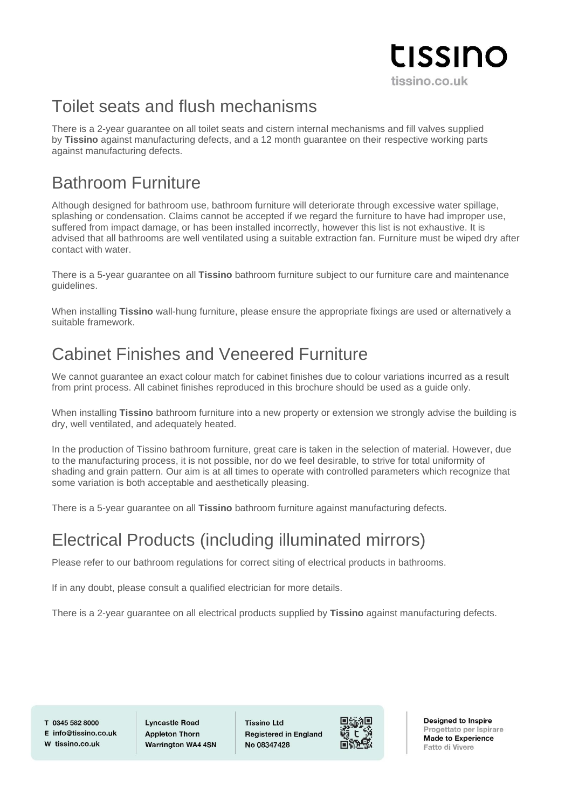# tissino tissino.co.uk

#### Toilet seats and flush mechanisms

There is a 2-year guarantee on all toilet seats and cistern internal mechanisms and fill valves supplied by **Tissino** against manufacturing defects, and a 12 month guarantee on their respective working parts against manufacturing defects.

## Bathroom Furniture

Although designed for bathroom use, bathroom furniture will deteriorate through excessive water spillage, splashing or condensation. Claims cannot be accepted if we regard the furniture to have had improper use, suffered from impact damage, or has been installed incorrectly, however this list is not exhaustive. It is advised that all bathrooms are well ventilated using a suitable extraction fan. Furniture must be wiped dry after contact with water.

There is a 5-year guarantee on all **Tissino** bathroom furniture subject to our furniture care and maintenance guidelines.

When installing **Tissino** wall-hung furniture, please ensure the appropriate fixings are used or alternatively a suitable framework.

## Cabinet Finishes and Veneered Furniture

We cannot guarantee an exact colour match for cabinet finishes due to colour variations incurred as a result from print process. All cabinet finishes reproduced in this brochure should be used as a guide only.

When installing **Tissino** bathroom furniture into a new property or extension we strongly advise the building is dry, well ventilated, and adequately heated.

In the production of Tissino bathroom furniture, great care is taken in the selection of material. However, due to the manufacturing process, it is not possible, nor do we feel desirable, to strive for total uniformity of shading and grain pattern. Our aim is at all times to operate with controlled parameters which recognize that some variation is both acceptable and aesthetically pleasing.

There is a 5-year guarantee on all **Tissino** bathroom furniture against manufacturing defects.

# Electrical Products (including illuminated mirrors)

Please refer to our bathroom regulations for correct siting of electrical products in bathrooms.

If in any doubt, please consult a qualified electrician for more details.

There is a 2-year guarantee on all electrical products supplied by **Tissino** against manufacturing defects.

T 0345 582 8000  $F$  info@tissino.co.uk W tissino.co.uk

**Lyncastle Road Appleton Thorn Warrington WA4 4SN**  **Tissino Ltd Registered in England** No 08347428

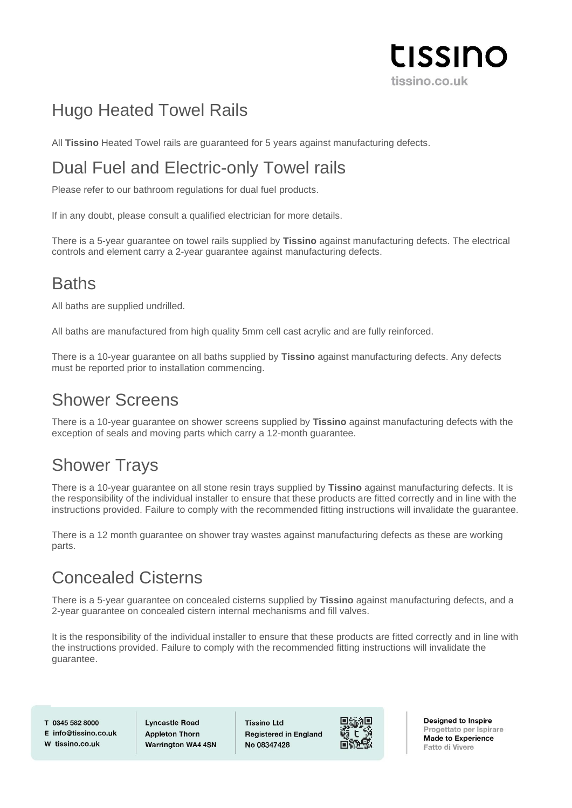

# Hugo Heated Towel Rails

All **Tissino** Heated Towel rails are guaranteed for 5 years against manufacturing defects.

# Dual Fuel and Electric-only Towel rails

Please refer to our bathroom regulations for dual fuel products.

If in any doubt, please consult a qualified electrician for more details.

There is a 5-year guarantee on towel rails supplied by **Tissino** against manufacturing defects. The electrical controls and element carry a 2-year guarantee against manufacturing defects.

## **Baths**

All baths are supplied undrilled.

All baths are manufactured from high quality 5mm cell cast acrylic and are fully reinforced.

There is a 10-year guarantee on all baths supplied by **Tissino** against manufacturing defects. Any defects must be reported prior to installation commencing.

## Shower Screens

There is a 10-year guarantee on shower screens supplied by **Tissino** against manufacturing defects with the exception of seals and moving parts which carry a 12-month guarantee.

# Shower Trays

There is a 10-year guarantee on all stone resin trays supplied by **Tissino** against manufacturing defects. It is the responsibility of the individual installer to ensure that these products are fitted correctly and in line with the instructions provided. Failure to comply with the recommended fitting instructions will invalidate the guarantee.

There is a 12 month guarantee on shower tray wastes against manufacturing defects as these are working parts.

# Concealed Cisterns

There is a 5-year guarantee on concealed cisterns supplied by **Tissino** against manufacturing defects, and a 2-year guarantee on concealed cistern internal mechanisms and fill valves.

It is the responsibility of the individual installer to ensure that these products are fitted correctly and in line with the instructions provided. Failure to comply with the recommended fitting instructions will invalidate the guarantee.

T 0345 582 8000 E info@tissino.co.uk W tissino.co.uk

**Lyncastle Road Appleton Thorn Warrington WA4 4SN**  **Tissino Ltd Registered in England** No 08347428